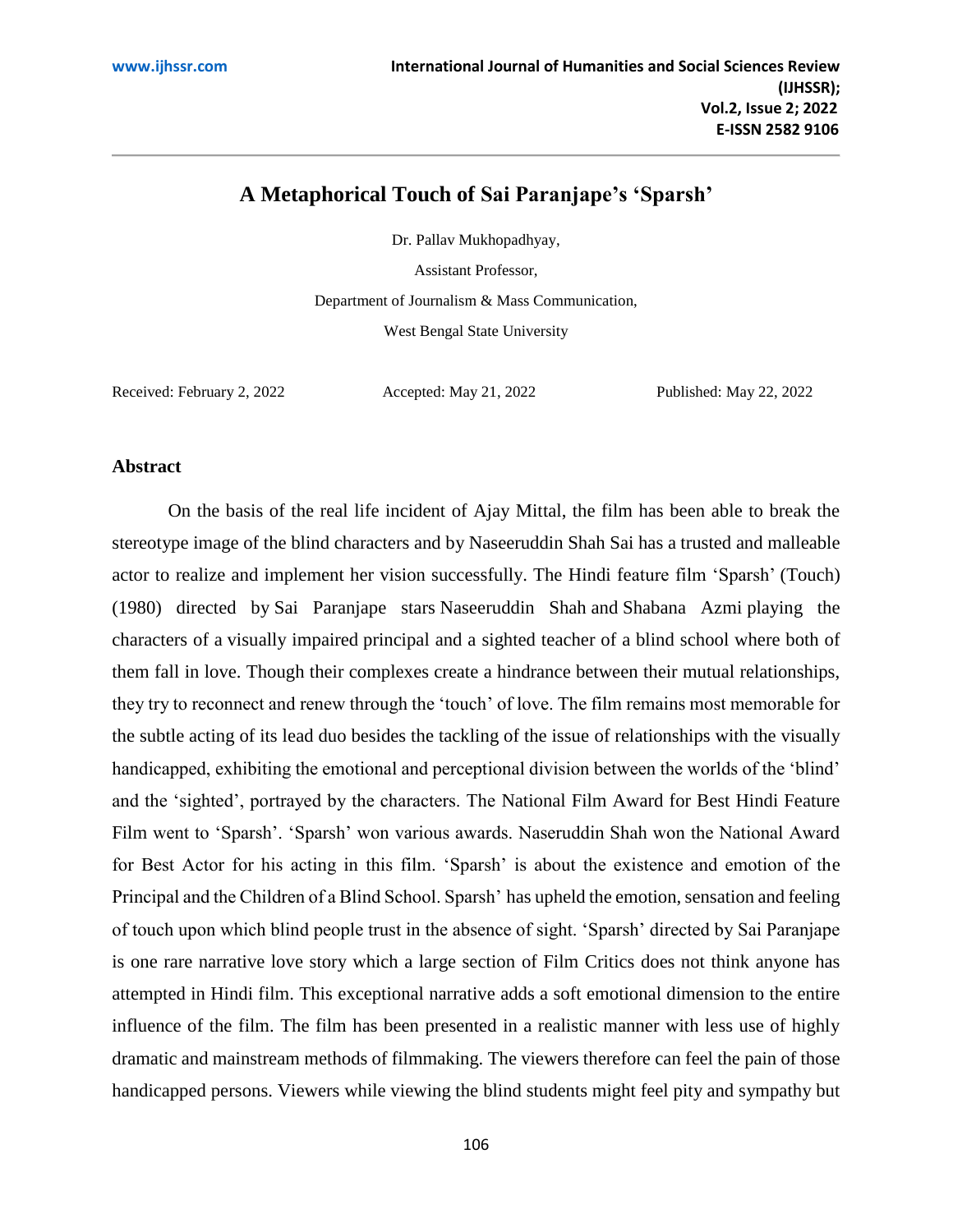# **A Metaphorical Touch of Sai Paranjape's 'Sparsh'**

Dr. Pallav Mukhopadhyay,

Assistant Professor,

Department of Journalism & Mass Communication,

West Bengal State University

Received: February 2, 2022 Accepted: May 21, 2022 Published: May 22, 2022

### **Abstract**

On the basis of the real life incident of Ajay Mittal, the film has been able to break the stereotype image of the blind characters and by Naseeruddin Shah Sai has a trusted and malleable actor to realize and implement her vision successfully. The Hindi feature film 'Sparsh' (Touch) (1980) directed by [Sai Paranjape](https://en.wikipedia.org/wiki/Sai_Paranjpye) stars [Naseeruddin Shah](https://en.wikipedia.org/wiki/Naseeruddin_Shah) and [Shabana Azmi](https://en.wikipedia.org/wiki/Shabana_Azmi) playing the characters of a [visually impaired](https://en.wikipedia.org/wiki/Visually_impaired) principal and a sighted teacher of a blind school where both of them fall in love. Though their complexes create a hindrance between their mutual relationships, they try to reconnect and renew through the 'touch' of love. The film remains most memorable for the subtle acting of its lead duo besides the tackling of the issue of relationships with the visually handicapped, exhibiting the emotional and perceptional division between the worlds of the 'blind' and the 'sighted', portrayed by the characters. The [National Film Award for Best Hindi Feature](https://en.wikipedia.org/wiki/National_Film_Award_for_Best_Feature_Film_in_Hindi)  [Film](https://en.wikipedia.org/wiki/National_Film_Award_for_Best_Feature_Film_in_Hindi) went to 'Sparsh'. 'Sparsh' won various awards. Naseruddin Shah won the National Award for Best Actor for his acting in this film. 'Sparsh' is about the existence and emotion of the Principal and the Children of a Blind School. Sparsh' has upheld the emotion, sensation and feeling of touch upon which blind people trust in the absence of sight. 'Sparsh' directed by Sai Paranjape is one rare narrative love story which a large section of Film Critics does not think anyone has attempted in Hindi film. This exceptional narrative adds a soft emotional dimension to the entire influence of the film. The film has been presented in a realistic manner with less use of highly dramatic and mainstream methods of filmmaking. The viewers therefore can feel the pain of those handicapped persons. Viewers while viewing the blind students might feel pity and sympathy but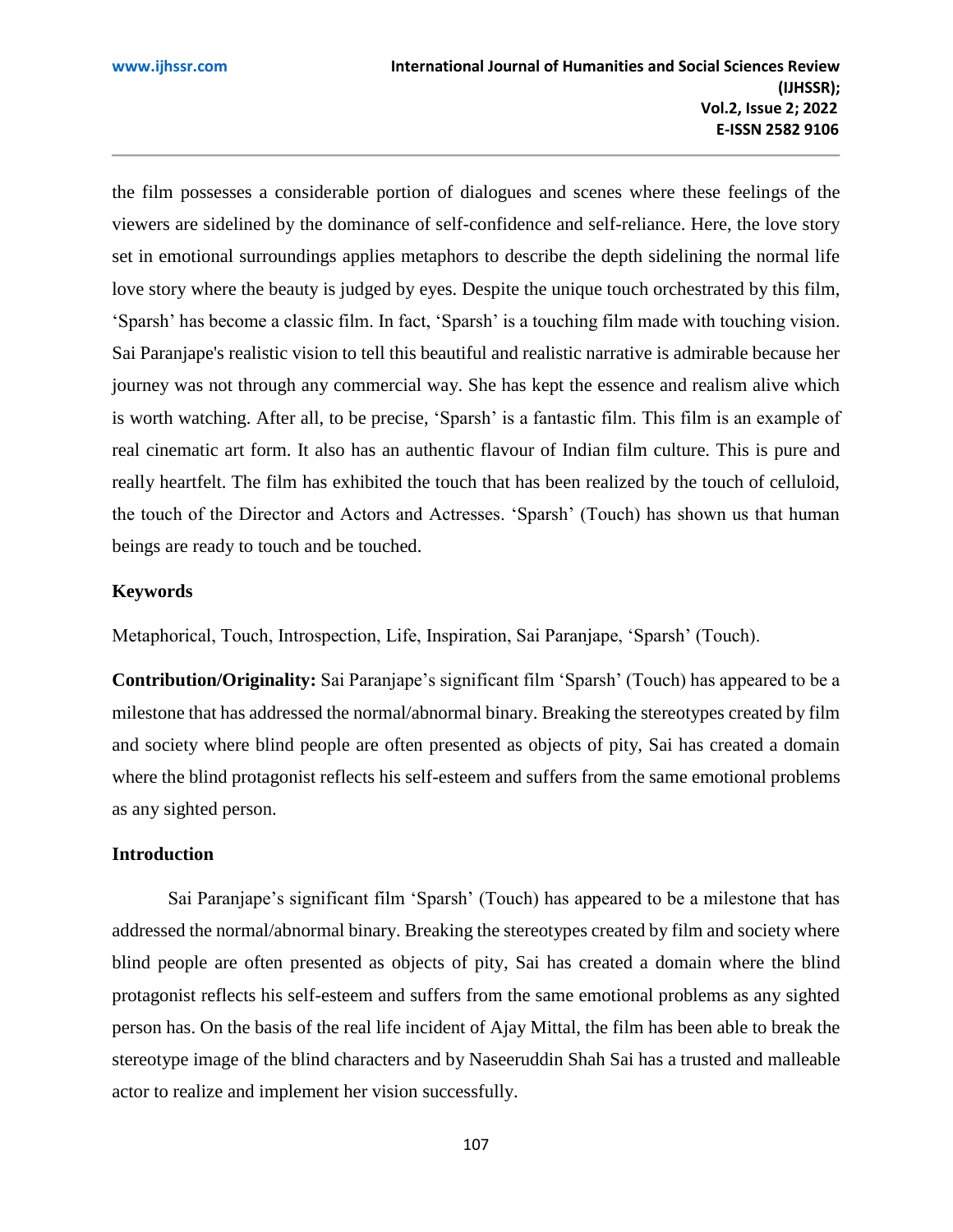the film possesses a considerable portion of dialogues and scenes where these feelings of the viewers are sidelined by the dominance of self-confidence and self-reliance. Here, the love story set in emotional surroundings applies metaphors to describe the depth sidelining the normal life love story where the beauty is judged by eyes. Despite the unique touch orchestrated by this film, 'Sparsh' has become a classic film. In fact, 'Sparsh' is a touching film made with touching vision. Sai Paranjape's realistic vision to tell this beautiful and realistic narrative is admirable because her journey was not through any commercial way. She has kept the essence and realism alive which is worth watching. After all, to be precise, 'Sparsh' is a fantastic film. This film is an example of real cinematic art form. It also has an authentic flavour of Indian film culture. This is pure and really heartfelt. The film has exhibited the touch that has been realized by the touch of celluloid, the touch of the Director and Actors and Actresses. 'Sparsh' (Touch) has shown us that human beings are ready to touch and be touched.

## **Keywords**

Metaphorical, Touch, Introspection, Life, Inspiration, Sai Paranjape, 'Sparsh' (Touch).

**Contribution/Originality:** Sai Paranjape's significant film 'Sparsh' (Touch) has appeared to be a milestone that has addressed the normal/abnormal binary. Breaking the stereotypes created by film and society where blind people are often presented as objects of pity, Sai has created a domain where the blind protagonist reflects his self-esteem and suffers from the same emotional problems as any sighted person.

## **Introduction**

Sai Paranjape's significant film 'Sparsh' (Touch) has appeared to be a milestone that has addressed the normal/abnormal binary. Breaking the stereotypes created by film and society where blind people are often presented as objects of pity, Sai has created a domain where the blind protagonist reflects his self-esteem and suffers from the same emotional problems as any sighted person has. On the basis of the real life incident of Ajay Mittal, the film has been able to break the stereotype image of the blind characters and by Naseeruddin Shah Sai has a trusted and malleable actor to realize and implement her vision successfully.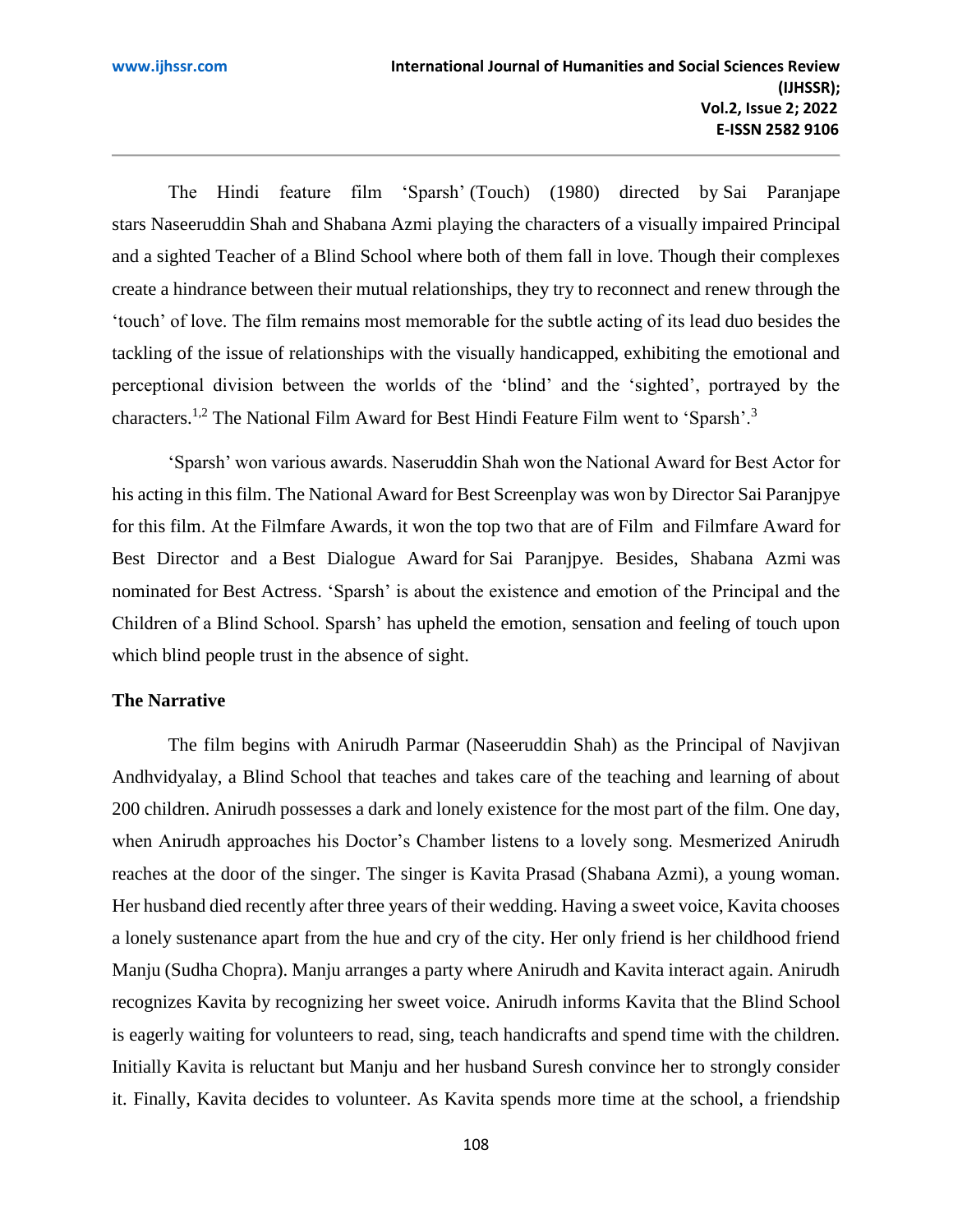The Hindi feature film 'Sparsh' (Touch) (1980) directed by [Sai Paranjape](https://en.wikipedia.org/wiki/Sai_Paranjpye) stars [Naseeruddin Shah](https://en.wikipedia.org/wiki/Naseeruddin_Shah) and [Shabana Azmi](https://en.wikipedia.org/wiki/Shabana_Azmi) playing the characters of a [visually impaired](https://en.wikipedia.org/wiki/Visually_impaired) Principal and a sighted Teacher of a Blind School where both of them fall in love. Though their complexes create a hindrance between their mutual relationships, they try to reconnect and renew through the 'touch' of love. The film remains most memorable for the subtle acting of its lead duo besides the tackling of the issue of relationships with the visually handicapped, exhibiting the emotional and perceptional division between the worlds of the 'blind' and the 'sighted', portrayed by the characters.1,2 The [National Film Award for Best Hindi Feature Film](https://en.wikipedia.org/wiki/National_Film_Award_for_Best_Feature_Film_in_Hindi) went to 'Sparsh'.<sup>3</sup>

'Sparsh' won various awards. Naseruddin Shah won the National Award for Best Actor for his acting in this film. The National Award for Best Screenplay was won by Director [Sai Paranjpye](https://en.wikipedia.org/wiki/Sai_Paranjpye) for this film. At the [Filmfare Awards,](https://en.wikipedia.org/wiki/Filmfare_Awards) it won the top two that are of Film and [Filmfare Award for](https://en.wikipedia.org/wiki/Filmfare_Best_Director_Award)  [Best Director](https://en.wikipedia.org/wiki/Filmfare_Best_Director_Award) and a [Best Dialogue Award](https://en.wikipedia.org/wiki/Filmfare_Best_Dialogue_Award) for [Sai Paranjpye.](https://en.wikipedia.org/wiki/Sai_Paranjpye) Besides, [Shabana Azmi](https://en.wikipedia.org/wiki/Shabana_Azmi) was nominated for [Best Actress.](https://en.wikipedia.org/wiki/Filmfare_Best_Actress_Award) 'Sparsh' is about the existence and emotion of the Principal and the Children of a Blind School. Sparsh' has upheld the emotion, sensation and feeling of touch upon which blind people trust in the absence of sight.

## **The Narrative**

The film begins with Anirudh Parmar [\(Naseeruddin Shah\)](https://en.wikipedia.org/wiki/Naseeruddin_Shah) as the Principal of Navjivan Andhvidyalay, a Blind School that teaches and takes care of the teaching and learning of about 200 children. Anirudh possesses a dark and lonely existence for the most part of the film. One day, when Anirudh approaches his Doctor's Chamber listens to a lovely song. Mesmerized Anirudh reaches at the door of the singer. The singer is Kavita Prasad [\(Shabana Azmi\)](https://en.wikipedia.org/wiki/Shabana_Azmi), a young woman. Her husband died recently after three years of their wedding. Having a sweet voice, Kavita chooses a lonely sustenance apart from the hue and cry of the city. Her only friend is her childhood friend Manju [\(Sudha Chopra\)](https://en.wikipedia.org/w/index.php?title=Sudha_Chopra&action=edit&redlink=1). Manju arranges a party where Anirudh and Kavita interact again. Anirudh recognizes Kavita by recognizing her sweet voice. Anirudh informs Kavita that the Blind School is eagerly waiting for volunteers to read, sing, teach handicrafts and spend time with the children. Initially Kavita is reluctant but Manju and her husband Suresh convince her to strongly consider it. Finally, Kavita decides to volunteer. As Kavita spends more time at the school, a friendship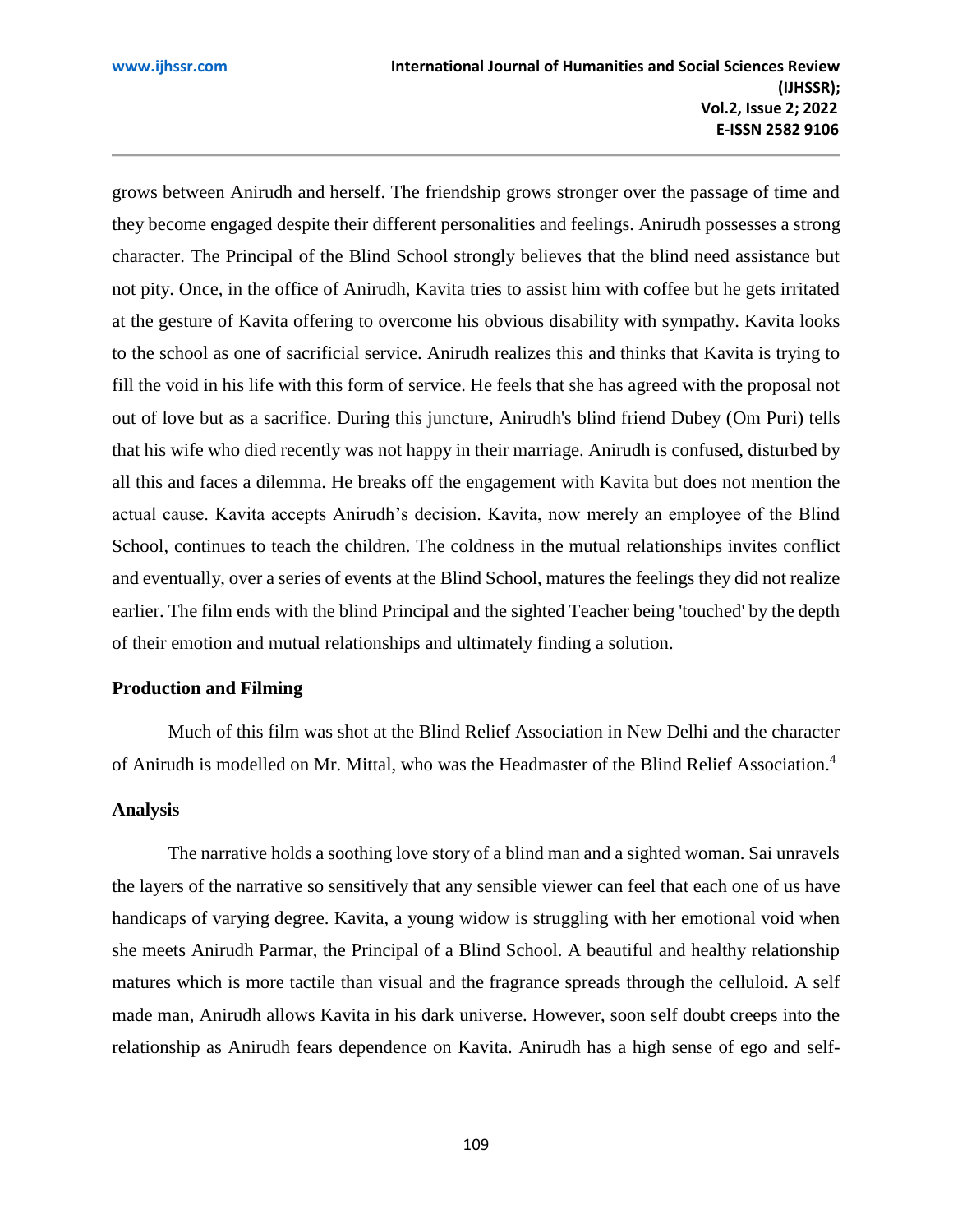grows between Anirudh and herself. The friendship grows stronger over the passage of time and they become engaged despite their different personalities and feelings. Anirudh possesses a strong character. The Principal of the Blind School strongly believes that the blind need assistance but not pity. Once, in the office of Anirudh, Kavita tries to assist him with coffee but he gets irritated at the gesture of Kavita offering to overcome his obvious disability with sympathy. Kavita looks to the school as one of sacrificial service. Anirudh realizes this and thinks that Kavita is trying to fill the void in his life with this form of service. He feels that she has agreed with the proposal not out of love but as a sacrifice. During this juncture, Anirudh's blind friend Dubey [\(Om Puri\)](https://en.wikipedia.org/wiki/Om_Puri) tells that his wife who died recently was not happy in their marriage. Anirudh is confused, disturbed by all this and faces a dilemma. He breaks off the engagement with Kavita but does not mention the actual cause. Kavita accepts Anirudh's decision. Kavita, now merely an employee of the Blind School, continues to teach the children. The coldness in the mutual relationships invites conflict and eventually, over a series of events at the Blind School, matures the feelings they did not realize earlier. The film ends with the blind Principal and the sighted Teacher being 'touched' by the depth of their emotion and mutual relationships and ultimately finding a solution.

## **Production and Filming**

Much of this film was shot at the Blind Relief Association in New Delhi and the character of Anirudh is modelled on Mr. Mittal, who was the Headmaster of the Blind Relief Association.[4](https://en.wikipedia.org/wiki/Sparsh_(film)#cite_note-Cinestaan-4)

## **Analysis**

The narrative holds a soothing love story of a blind man and a sighted woman. Sai unravels the layers of the narrative so sensitively that any sensible viewer can feel that each one of us have handicaps of varying degree. Kavita, a young widow is struggling with her emotional void when she meets Anirudh Parmar, the Principal of a Blind School. A beautiful and healthy relationship matures which is more tactile than visual and the fragrance spreads through the celluloid. A self made man, Anirudh allows Kavita in his dark universe. However, soon self doubt creeps into the relationship as Anirudh fears dependence on Kavita. Anirudh has a high sense of ego and self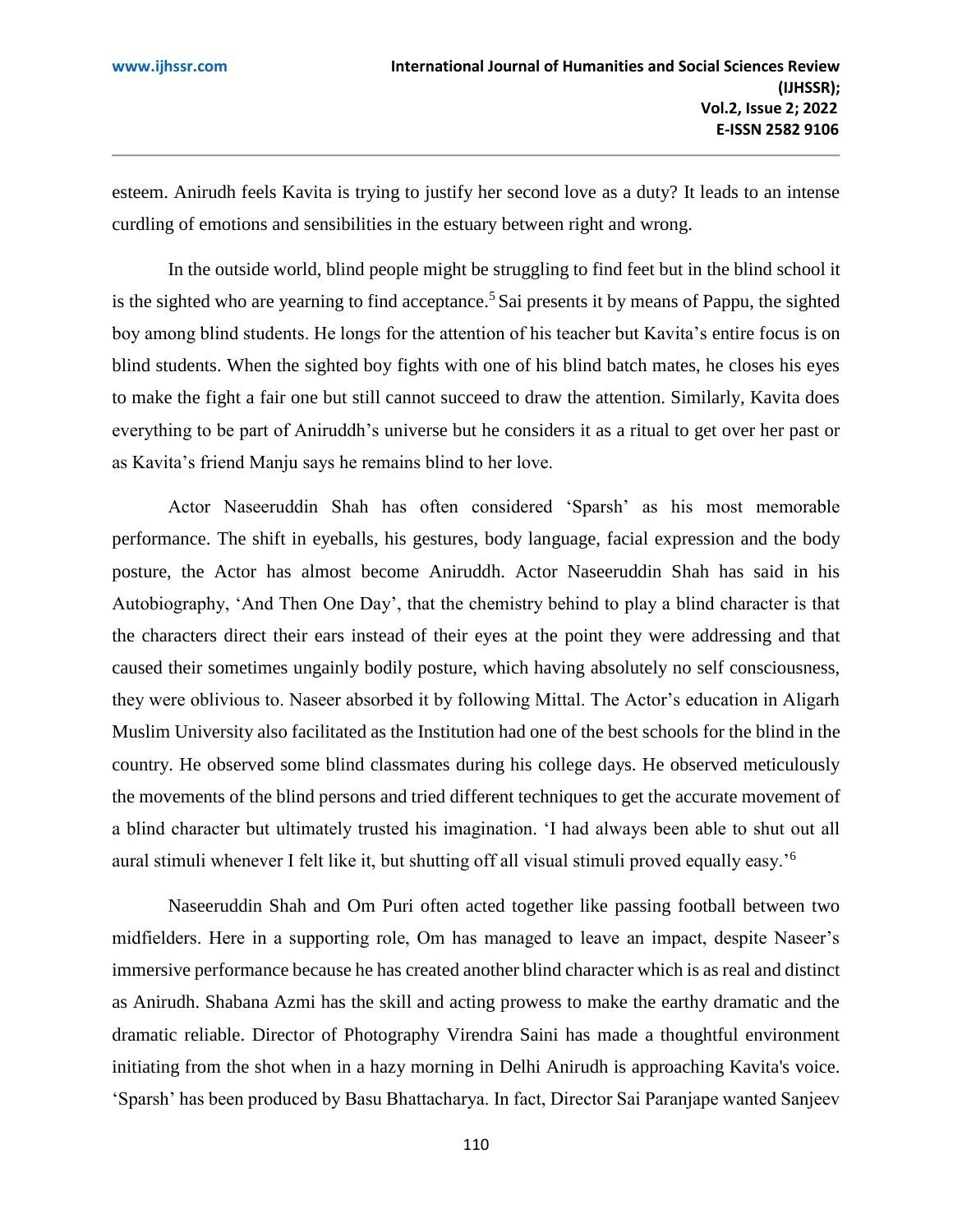esteem. Anirudh feels Kavita is trying to justify her second love as a duty? It leads to an intense curdling of emotions and sensibilities in the estuary between right and wrong.

In the outside world, blind people might be struggling to find feet but in the blind school it is the sighted who are yearning to find acceptance.<sup>5</sup> Sai presents it by means of Pappu, the sighted boy among blind students. He longs for the attention of his teacher but Kavita's entire focus is on blind students. When the sighted boy fights with one of his blind batch mates, he closes his eyes to make the fight a fair one but still cannot succeed to draw the attention. Similarly, Kavita does everything to be part of Aniruddh's universe but he considers it as a ritual to get over her past or as Kavita's friend Manju says he remains blind to her love.

Actor Naseeruddin Shah has often considered 'Sparsh' as his most memorable performance. The shift in eyeballs, his gestures, body language, facial expression and the body posture, the Actor has almost become Aniruddh. Actor Naseeruddin Shah has said in his Autobiography, 'And Then One Day', that the chemistry behind to play a blind character is that the characters direct their ears instead of their eyes at the point they were addressing and that caused their sometimes ungainly bodily posture, which having absolutely no self consciousness, they were oblivious to. Naseer absorbed it by following Mittal. The Actor's education in Aligarh Muslim University also facilitated as the Institution had one of the best schools for the blind in the country. He observed some blind classmates during his college days. He observed meticulously the movements of the blind persons and tried different techniques to get the accurate movement of a blind character but ultimately trusted his imagination. 'I had always been able to shut out all aural stimuli whenever I felt like it, but shutting off all visual stimuli proved equally easy.'<sup>6</sup>

Naseeruddin Shah and Om Puri often acted together like passing football between two midfielders. Here in a supporting role, Om has managed to leave an impact, despite Naseer's immersive performance because he has created another blind character which is as real and distinct as Anirudh. Shabana Azmi has the skill and acting prowess to make the earthy dramatic and the dramatic reliable. Director of Photography Virendra Saini has made a thoughtful environment initiating from the shot when in a hazy morning in Delhi Anirudh is approaching Kavita's voice. 'Sparsh' has been produced by Basu Bhattacharya. In fact, Director Sai Paranjape wanted Sanjeev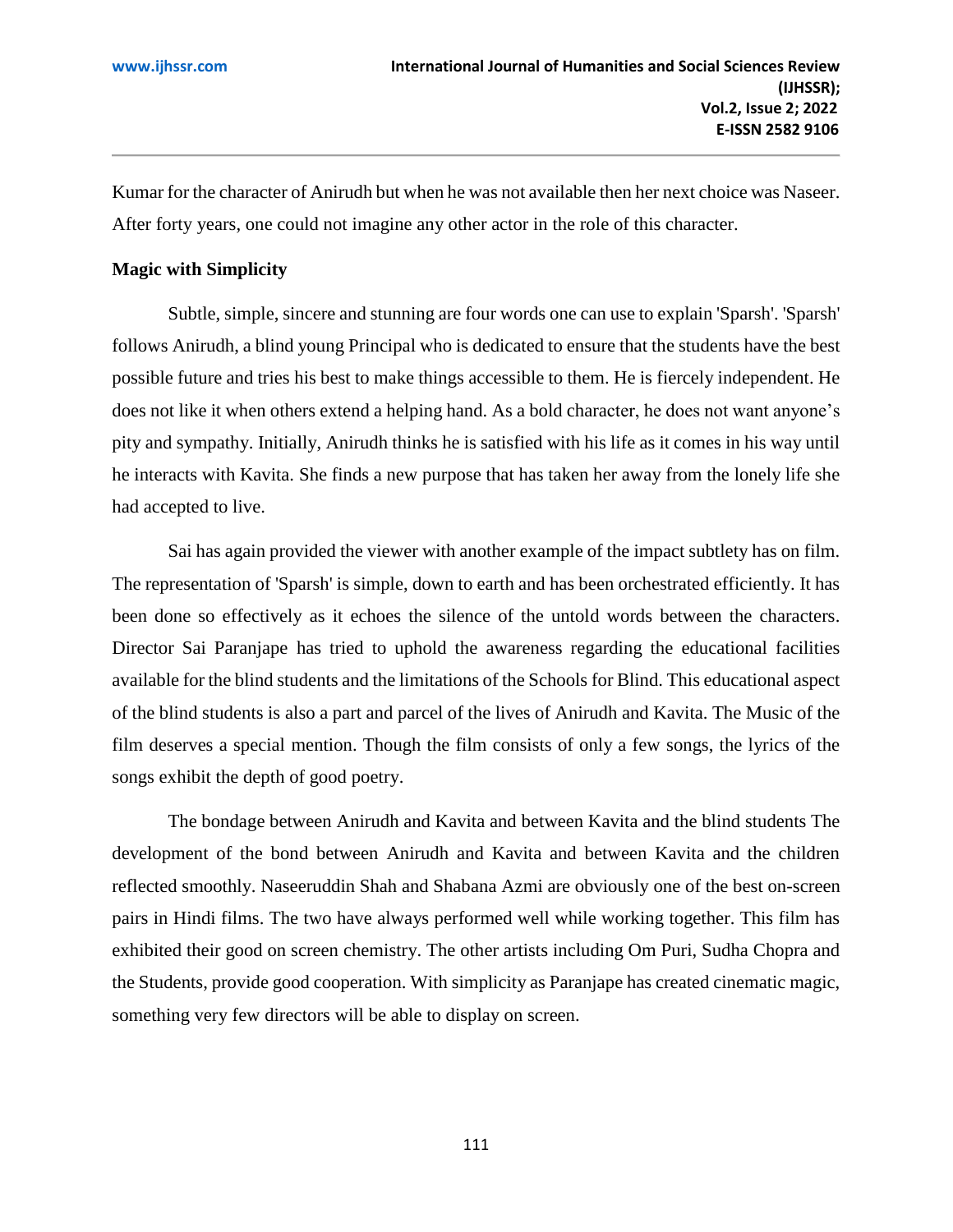Kumar for the character of Anirudh but when he was not available then her next choice was Naseer. After forty years, one could not imagine any other actor in the role of this character.

## **[Magic with Simplicity](https://www.imdb.com/review/rw2430108/?ref_=tt_urv)**

Subtle, simple, sincere and stunning are four words one can use to explain 'Sparsh'. 'Sparsh' follows Anirudh, a blind young Principal who is dedicated to ensure that the students have the best possible future and tries his best to make things accessible to them. He is fiercely independent. He does not like it when others extend a helping hand. As a bold character, he does not want anyone's pity and sympathy. Initially, Anirudh thinks he is satisfied with his life as it comes in his way until he interacts with Kavita. She finds a new purpose that has taken her away from the lonely life she had accepted to live.

Sai has again provided the viewer with another example of the impact subtlety has on film. The representation of 'Sparsh' is simple, down to earth and has been orchestrated efficiently. It has been done so effectively as it echoes the silence of the untold words between the characters. Director Sai [Paranjape](https://en.wikipedia.org/wiki/Sai_Paranjpye) has tried to uphold the awareness regarding the educational facilities available for the blind students and the limitations of the Schools for Blind. This educational aspect of the blind students is also a part and parcel of the lives of Anirudh and Kavita. The Music of the film deserves a special mention. Though the film consists of only a few songs, the lyrics of the songs exhibit the depth of good poetry.

The bondage between Anirudh and Kavita and between Kavita and the blind students The development of the bond between Anirudh and Kavita and between Kavita and the children reflected smoothly. Naseeruddin Shah and Shabana Azmi are obviously one of the best on-screen pairs in Hindi films. The two have always performed well while working together. This film has exhibited their good on screen chemistry. The other artists including Om Puri, Sudha Chopra and the Students, provide good cooperation. With simplicity as Paranjape has created cinematic magic, something very few directors will be able to display on screen.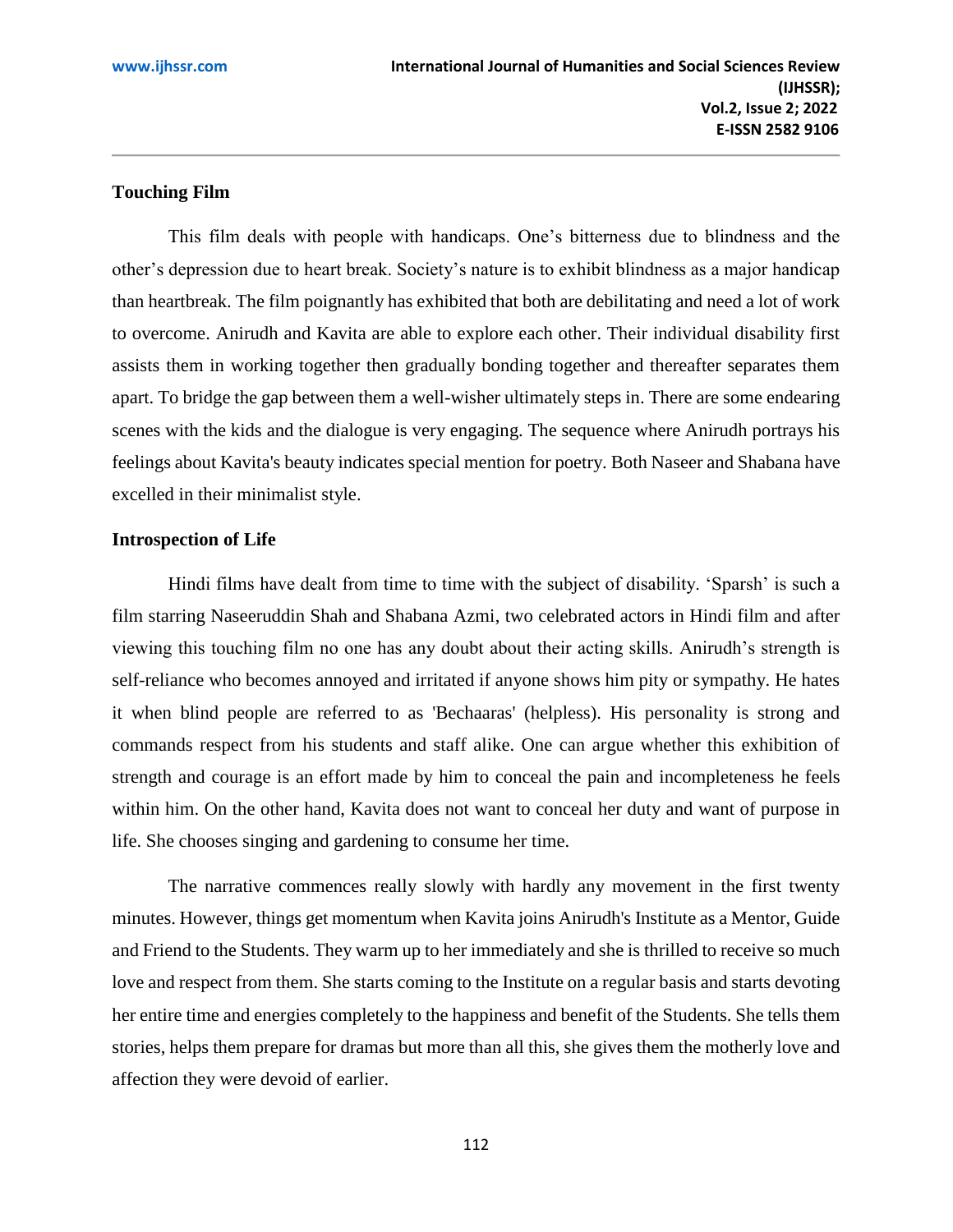## **[Touching F](https://www.imdb.com/review/rw1393436/?ref_=tt_urv)ilm**

This film deals with people with handicaps. One's bitterness due to blindness and the other's depression due to heart break. Society's nature is to exhibit blindness as a major handicap than heartbreak. The film poignantly has exhibited that both are debilitating and need a lot of work to overcome. Anirudh and Kavita are able to explore each other. Their individual disability first assists them in working together then gradually bonding together and thereafter separates them apart. To bridge the gap between them a well-wisher ultimately steps in. There are some endearing scenes with the kids and the dialogue is very engaging. The sequence where Anirudh portrays his feelings about Kavita's beauty indicates special mention for poetry. Both Naseer and Shabana have excelled in their minimalist style.

## **Introspection of Life**

Hindi films have dealt from time to time with the subject of disability. 'Sparsh' is such a film starring Naseeruddin Shah and Shabana Azmi, two celebrated actors in Hindi film and after viewing this touching film no one has any doubt about their acting skills. Anirudh's strength is self-reliance who becomes annoyed and irritated if anyone shows him pity or sympathy. He hates it when blind people are referred to as 'Bechaaras' (helpless). His personality is strong and commands respect from his students and staff alike. One can argue whether this exhibition of strength and courage is an effort made by him to conceal the pain and incompleteness he feels within him. On the other hand, Kavita does not want to conceal her duty and want of purpose in life. She chooses singing and gardening to consume her time.

The narrative commences really slowly with hardly any movement in the first twenty minutes. However, things get momentum when Kavita joins Anirudh's Institute as a Mentor, Guide and Friend to the Students. They warm up to her immediately and she is thrilled to receive so much love and respect from them. She starts coming to the Institute on a regular basis and starts devoting her entire time and energies completely to the happiness and benefit of the Students. She tells them stories, helps them prepare for dramas but more than all this, she gives them the motherly love and affection they were devoid of earlier.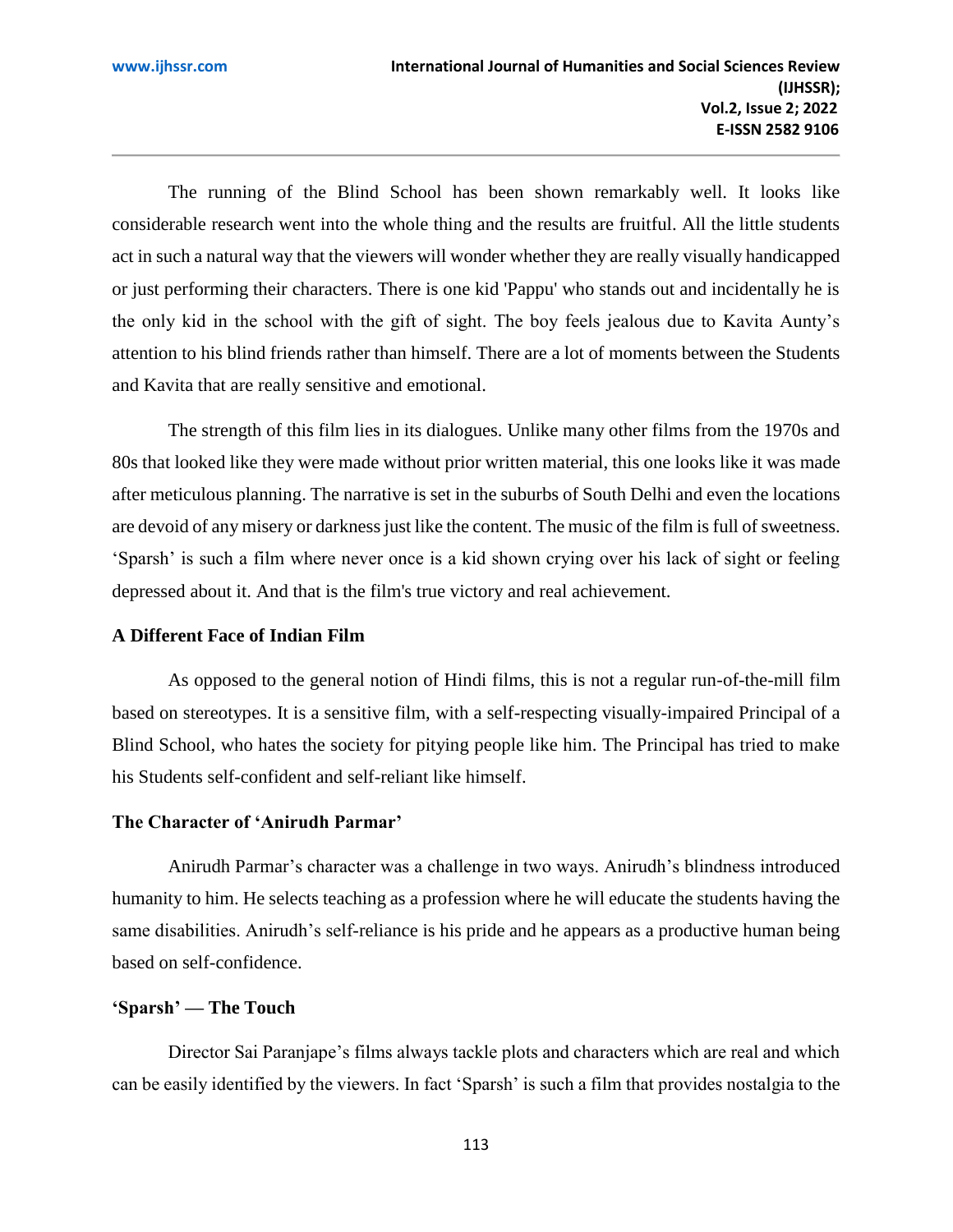The running of the Blind School has been shown remarkably well. It looks like considerable research went into the whole thing and the results are fruitful. All the little students act in such a natural way that the viewers will wonder whether they are really visually handicapped or just performing their characters. There is one kid 'Pappu' who stands out and incidentally he is the only kid in the school with the gift of sight. The boy feels jealous due to Kavita Aunty's attention to his blind friends rather than himself. There are a lot of moments between the Students and Kavita that are really sensitive and emotional.

The strength of this film lies in its dialogues. Unlike many other films from the 1970s and 80s that looked like they were made without prior written material, this one looks like it was made after meticulous planning. The narrative is set in the suburbs of South Delhi and even the locations are devoid of any misery or darkness just like the content. The music of the film is full of sweetness. 'Sparsh' is such a film where never once is a kid shown crying over his lack of sight or feeling depressed about it. And that is the film's true victory and real achievement.

### **[A Different Face of Indian F](https://www.imdb.com/review/rw0170916/?ref_=tt_urv)ilm**

As opposed to the general notion of Hindi films, this is not a regular run-of-the-mill film based on stereotypes. It is a sensitive film, with a self-respecting visually-impaired Principal of a Blind School, who hates the society for pitying people like him. The Principal has tried to make his Students self-confident and self-reliant like himself.

## **The Character of 'Anirudh Parmar'**

Anirudh Parmar's character was a challenge in two ways. Anirudh's blindness introduced humanity to him. He selects teaching as a profession where he will educate the students having the same disabilities. Anirudh's self-reliance is his pride and he appears as a productive human being based on self-confidence.

## **['Sparsh' —](https://www.imdb.com/review/rw1030096/?ref_=tt_urv) The Touch**

Director Sai Paranjape's films always tackle plots and characters which are real and which can be easily identified by the viewers. In fact 'Sparsh' is such a film that provides nostalgia to the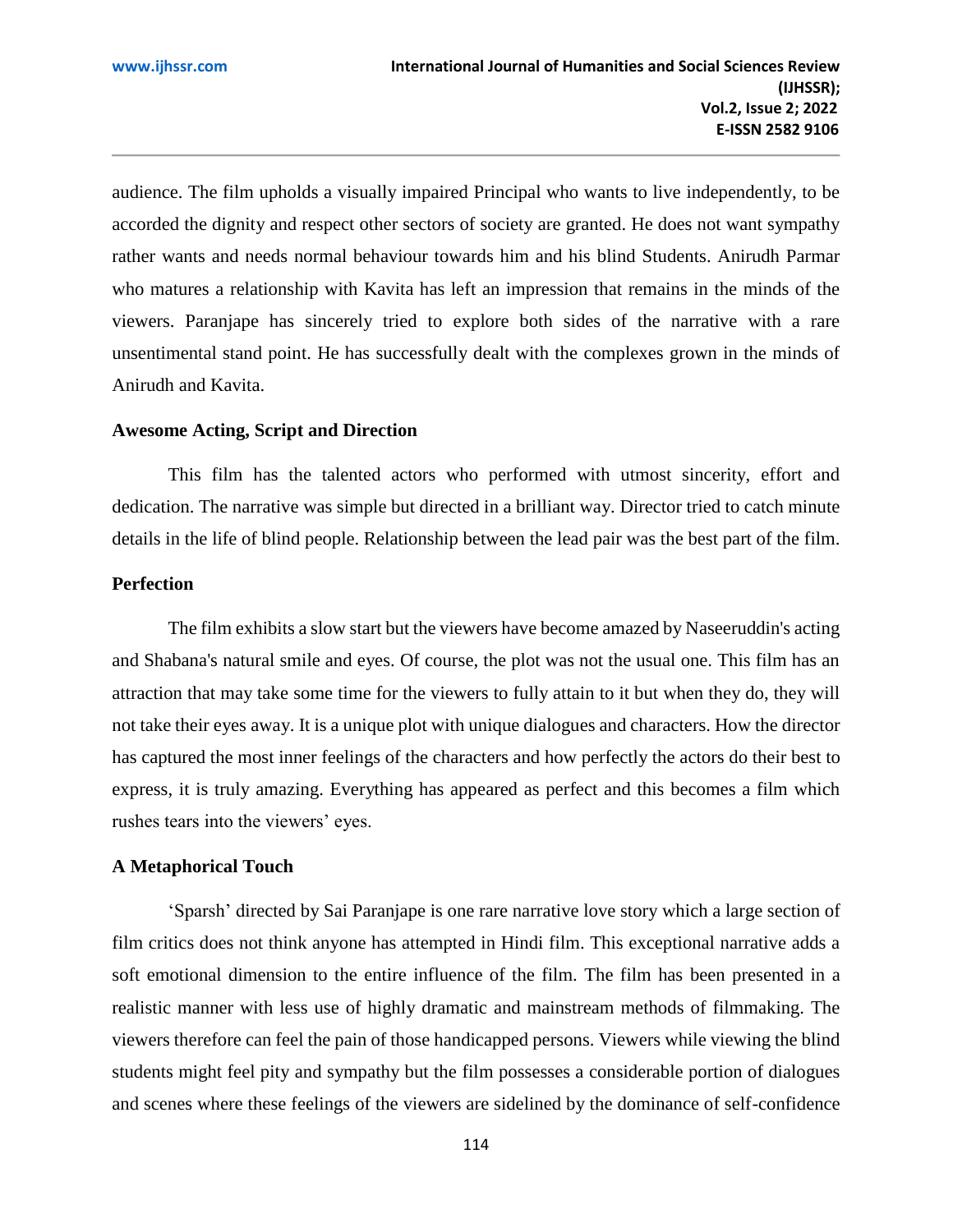audience. The film upholds a visually impaired Principal who wants to live independently, to be accorded the dignity and respect other sectors of society are granted. He does not want sympathy rather wants and needs normal behaviour towards him and his blind Students. Anirudh Parmar who matures a relationship with Kavita has left an impression that remains in the minds of the viewers. Paranjape has sincerely tried to explore both sides of the narrative with a rare unsentimental stand point. He has successfully dealt with the complexes grown in the minds of Anirudh and Kavita.

### **[Awesome Acting, Script and Direction](https://www.imdb.com/review/rw6439773/?ref_=tt_urv)**

This film has the talented actors who performed with utmost sincerity, effort and dedication. The narrative was simple but directed in a brilliant way. Director tried to catch minute details in the life of blind people. Relationship between the lead pair was the best part of the film.

## **Perfection**

The film exhibits a slow start but the viewers have become amazed by Naseeruddin's acting and Shabana's natural smile and eyes. Of course, the plot was not the usual one. This film has an attraction that may take some time for the viewers to fully attain to it but when they do, they will not take their eyes away. It is a unique plot with unique dialogues and characters. How the director has captured the most inner feelings of the characters and how perfectly the actors do their best to express, it is truly amazing. Everything has appeared as perfect and this becomes a film which rushes tears into the viewers' eyes.

#### **[A Metaphorical Touch](https://www.imdb.com/review/rw6341968/?ref_=tt_urv)**

'Sparsh' directed by Sai Paranjape is one rare narrative love story which a large section of film critics does not think anyone has attempted in Hindi film. This exceptional narrative adds a soft emotional dimension to the entire influence of the film. The film has been presented in a realistic manner with less use of highly dramatic and mainstream methods of filmmaking. The viewers therefore can feel the pain of those handicapped persons. Viewers while viewing the blind students might feel pity and sympathy but the film possesses a considerable portion of dialogues and scenes where these feelings of the viewers are sidelined by the dominance of self-confidence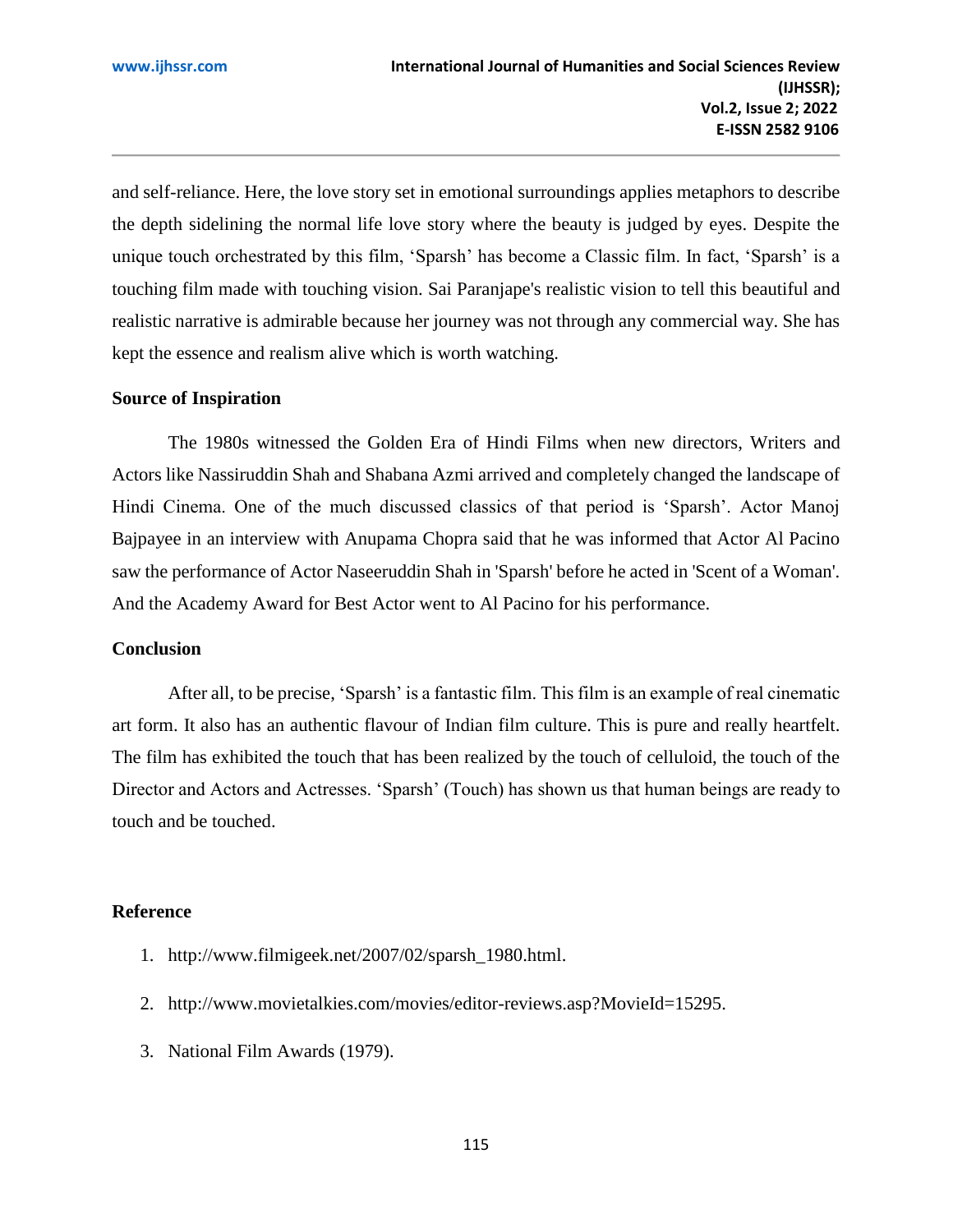and self-reliance. Here, the love story set in emotional surroundings applies metaphors to describe the depth sidelining the normal life love story where the beauty is judged by eyes. Despite the unique touch orchestrated by this film, 'Sparsh' has become a Classic film. In fact, 'Sparsh' is a touching film made with touching vision. Sai Paranjape's realistic vision to tell this beautiful and realistic narrative is admirable because her journey was not through any commercial way. She has kept the essence and realism alive which is worth watching.

#### **Source of Inspiration**

The 1980s witnessed the Golden Era of Hindi Films when new directors, Writers and Actors like Nassiruddin Shah and Shabana Azmi arrived and completely changed the landscape of Hindi Cinema. One of the much discussed classics of that period is 'Sparsh'. Actor Manoj Bajpayee in an interview with Anupama Chopra said that he was informed that Actor Al Pacino saw the performance of Actor Naseeruddin Shah in 'Sparsh' before he acted in 'Scent of a Woman'. And the Academy Award for Best Actor went to Al Pacino for his performance.

### **Conclusion**

After all, to be precise, 'Sparsh' is a fantastic film. This film is an example of real cinematic art form. It also has an authentic flavour of Indian film culture. This is pure and really heartfelt. The film has exhibited the touch that has been realized by the touch of celluloid, the touch of the Director and Actors and Actresses. 'Sparsh' (Touch) has shown us that human beings are ready to touch and be touched.

## **Reference**

- 1. [http://www.filmigeek.net/2007/02/sparsh\\_1980.html.](http://www.filmigeek.net/2007/02/sparsh_1980.html)
- 2. [http://www.movietalkies.com/movies/editor-reviews.asp?MovieId=15295.](http://www.movietalkies.com/movies/editor-reviews.asp?MovieId=15295)
- 3. [National Film Awards \(1979\).](http://www.gomolo.com/9/national-film-awards-1979)